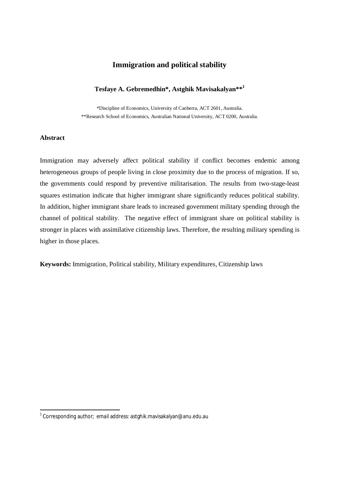# **Immigration and political stability**

### **Tesfaye A. Gebremedhin\*, Astghik Mavisakalyan\*\*<sup>1</sup>**

\*Discipline of Economics, University of Canberra, ACT 2601, Australia. \*\*Research School of Economics, Australian National University, ACT 0200, Australia.

### **Abstract**

-

Immigration may adversely affect political stability if conflict becomes endemic among heterogeneous groups of people living in close proximity due to the process of migration. If so, the governments could respond by preventive militarisation. The results from two-stage-least squares estimation indicate that higher immigrant share significantly reduces political stability. In addition, higher immigrant share leads to increased government military spending through the channel of political stability. The negative effect of immigrant share on political stability is stronger in places with assimilative citizenship laws. Therefore, the resulting military spending is higher in those places.

**Keywords:** Immigration, Political stability, Military expenditures, Citizenship laws

<sup>&</sup>lt;sup>1</sup> Corresponding author; email address: astghik.mavisakalyan@anu.edu.au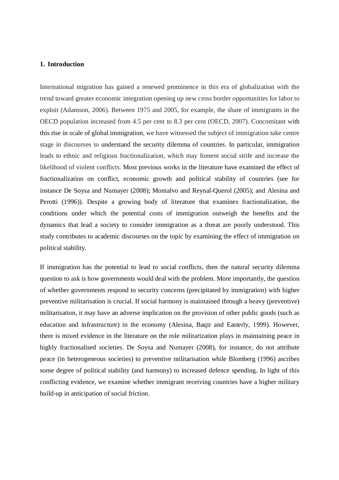#### **1. Introduction**

International migration has gained a renewed prominence in this era of globalization with the trend toward greater economic integration opening up new cross border opportunities for labor to exploit (Adamson, 2006). Between 1975 and 2005, for example, the share of immigrants in the OECD population increased from 4.5 per cent to 8.3 per cent (OECD, 2007). Concomitant with this rise in scale of global immigration, we have witnessed the subject of immigration take centre stage in discourses to understand the security dilemma of countries. In particular, immigration leads to ethnic and religious fractionalization, which may foment social strife and increase the likelihood of violent conflicts. Most previous works in the literature have examined the effect of fractionalization on conflict, economic growth and political stability of countries (see for instance De Soysa and Numayer (2008); Montalvo and Reynal-Querol (2005); and Alesina and Perotti (1996)). Despite a growing body of literature that examines fractionalization, the conditions under which the potential costs of immigration outweigh the benefits and the dynamics that lead a society to consider immigration as a threat are poorly understood. This study contributes to academic discourses on the topic by examining the effect of immigration on political stability.

If immigration has the potential to lead to social conflicts, then the natural security dilemma question to ask is how governments would deal with the problem. More importantly, the question of whether governments respond to security concerns (precipitated by immigration) with higher preventive militarisation is crucial. If social harmony is maintained through a heavy (preventive) militarisation, it may have an adverse implication on the provision of other public goods (such as education and infrastructure) in the economy (Alesina, Baqir and Easterly, 1999). However, there is mixed evidence in the literature on the role militarization plays in maintaining peace in highly fractionalised societies. De Soysa and Numayer (2008), for instance, do not attribute peace (in heterogeneous societies) to preventive militarisation while Blomberg (1996) ascribes some degree of political stability (and harmony) to increased defence spending. In light of this conflicting evidence, we examine whether immigrant receiving countries have a higher military build-up in anticipation of social friction.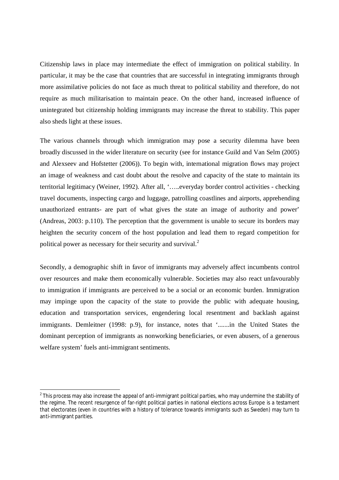Citizenship laws in place may intermediate the effect of immigration on political stability. In particular, it may be the case that countries that are successful in integrating immigrants through more assimilative policies do not face as much threat to political stability and therefore, do not require as much militarisation to maintain peace. On the other hand, increased influence of unintegrated but citizenship holding immigrants may increase the threat to stability. This paper also sheds light at these issues.

The various channels through which immigration may pose a security dilemma have been broadly discussed in the wider literature on security (see for instance Guild and Van Selm (2005) and Alexseev and Hofstetter (2006)). To begin with, international migration flows may project an image of weakness and cast doubt about the resolve and capacity of the state to maintain its territorial legitimacy (Weiner, 1992). After all, '…..everyday border control activities - checking travel documents, inspecting cargo and luggage, patrolling coastlines and airports, apprehending unauthorized entrants- are part of what gives the state an image of authority and power' (Andreas, 2003: p.110). The perception that the government is unable to secure its borders may heighten the security concern of the host population and lead them to regard competition for political power as necessary for their security and survival.<sup>2</sup>

Secondly, a demographic shift in favor of immigrants may adversely affect incumbents control over resources and make them economically vulnerable. Societies may also react unfavourably to immigration if immigrants are perceived to be a social or an economic burden. Immigration may impinge upon the capacity of the state to provide the public with adequate housing, education and transportation services, engendering local resentment and backlash against immigrants. Demleitner (1998: p.9), for instance, notes that '.......in the United States the dominant perception of immigrants as nonworking beneficiaries, or even abusers, of a generous welfare system' fuels anti-immigrant sentiments.

 2 This process may also increase the appeal of anti-immigrant political parties, who may undermine the stability of the regime. The recent resurgence of far-right political parties in national elections across Europe is a testament that electorates (even in countries with a history of tolerance towards immigrants such as Sweden) may turn to anti-immigrant parities.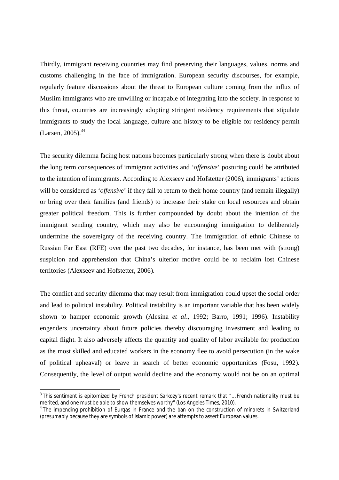Thirdly, immigrant receiving countries may find preserving their languages, values, norms and customs challenging in the face of immigration. European security discourses, for example, regularly feature discussions about the threat to European culture coming from the influx of Muslim immigrants who are unwilling or incapable of integrating into the society. In response to this threat, countries are increasingly adopting stringent residency requirements that stipulate immigrants to study the local language, culture and history to be eligible for residency permit  $(Larsen, 2005).$ <sup>34</sup>

The security dilemma facing host nations becomes particularly strong when there is doubt about the long term consequences of immigrant activities and '*offensive*' posturing could be attributed to the intention of immigrants. According to Alexseev and Hofstetter (2006), immigrants' actions will be considered as '*offensive*' if they fail to return to their home country (and remain illegally) or bring over their families (and friends) to increase their stake on local resources and obtain greater political freedom. This is further compounded by doubt about the intention of the immigrant sending country, which may also be encouraging immigration to deliberately undermine the sovereignty of the receiving country. The immigration of ethnic Chinese to Russian Far East (RFE) over the past two decades, for instance, has been met with (strong) suspicion and apprehension that China's ulterior motive could be to reclaim lost Chinese territories (Alexseev and Hofstetter, 2006).

The conflict and security dilemma that may result from immigration could upset the social order and lead to political instability. Political instability is an important variable that has been widely shown to hamper economic growth (Alesina *et al*., 1992; Barro, 1991; 1996). Instability engenders uncertainty about future policies thereby discouraging investment and leading to capital flight. It also adversely affects the quantity and quality of labor available for production as the most skilled and educated workers in the economy flee to avoid persecution (in the wake of political upheaval) or leave in search of better economic opportunities (Fosu, 1992). Consequently, the level of output would decline and the economy would not be on an optimal

 3 This sentiment is epitomized by French president Sarkozy's recent remark that "….French nationality must be merited, and one must be able to show themselves worthy" (Los Angeles Times, 2010).

<sup>&</sup>lt;sup>4</sup> The impending prohibition of Burqas in France and the ban on the construction of minarets in Switzerland (presumably because they are symbols of Islamic power) are attempts to assert European values.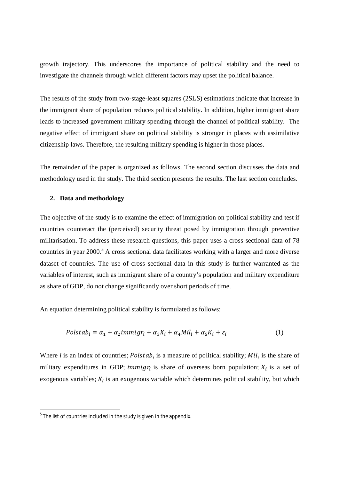growth trajectory. This underscores the importance of political stability and the need to investigate the channels through which different factors may upset the political balance.

The results of the study from two-stage-least squares (2SLS) estimations indicate that increase in the immigrant share of population reduces political stability. In addition, higher immigrant share leads to increased government military spending through the channel of political stability. The negative effect of immigrant share on political stability is stronger in places with assimilative citizenship laws. Therefore, the resulting military spending is higher in those places.

The remainder of the paper is organized as follows. The second section discusses the data and methodology used in the study. The third section presents the results. The last section concludes.

### **2. Data and methodology**

The objective of the study is to examine the effect of immigration on political stability and test if countries counteract the (perceived) security threat posed by immigration through preventive militarisation. To address these research questions, this paper uses a cross sectional data of 78 countries in year 2000.<sup>5</sup> A cross sectional data facilitates working with a larger and more diverse dataset of countries. The use of cross sectional data in this study is further warranted as the variables of interest, such as immigrant share of a country's population and military expenditure as share of GDP, do not change significantly over short periods of time.

An equation determining political stability is formulated as follows:

$$
Polstab_i = \alpha_1 + \alpha_2 \, \text{immig} \, r_i + \alpha_3 X_i + \alpha_4 \, \text{Mil}_i + \alpha_5 K_i + \varepsilon_i \tag{1}
$$

Where *i* is an index of countries;  $Polstab_i$  is a measure of political stability;  $Mil_i$  is the share of military expenditures in GDP; *immigr<sub>i</sub>* is share of overseas born population;  $X_i$  is a set of exogenous variables;  $K_i$  is an exogenous variable which determines political stability, but which

 5 The list of countries included in the study is given in the appendix.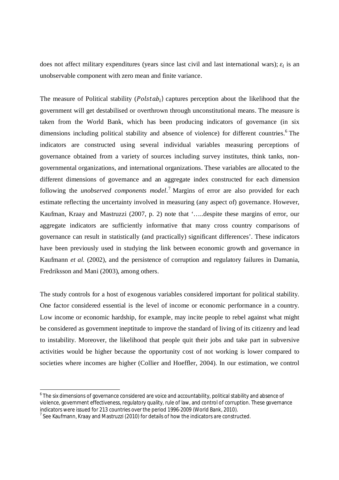does not affect military expenditures (years since last civil and last international wars);  $\varepsilon_i$  is an unobservable component with zero mean and finite variance.

The measure of Political stability ( $Polstab_i$ ) captures perception about the likelihood that the government will get destabilised or overthrown through unconstitutional means. The measure is taken from the World Bank, which has been producing indicators of governance (in six dimensions including political stability and absence of violence) for different countries.<sup>6</sup> The indicators are constructed using several individual variables measuring perceptions of governance obtained from a variety of sources including survey institutes, think tanks, nongovernmental organizations, and international organizations. These variables are allocated to the different dimensions of governance and an aggregate index constructed for each dimension following the *unobserved components model*. <sup>7</sup> Margins of error are also provided for each estimate reflecting the uncertainty involved in measuring (any aspect of) governance. However, Kaufman, Kraay and Mastruzzi (2007, p. 2) note that '…..despite these margins of error, our aggregate indicators are sufficiently informative that many cross country comparisons of governance can result in statistically (and practically) significant differences'. These indicators have been previously used in studying the link between economic growth and governance in Kaufmann *et al.* (2002), and the persistence of corruption and regulatory failures in Damania, Fredriksson and Mani (2003), among others.

The study controls for a host of exogenous variables considered important for political stability. One factor considered essential is the level of income or economic performance in a country. Low income or economic hardship, for example, may incite people to rebel against what might be considered as government ineptitude to improve the standard of living of its citizenry and lead to instability. Moreover, the likelihood that people quit their jobs and take part in subversive activities would be higher because the opportunity cost of not working is lower compared to societies where incomes are higher (Collier and Hoeffler, 2004). In our estimation, we control

 6 The six dimensions of governance considered are voice and accountability, political stability and absence of violence, government effectiveness, regulatory quality, rule of law, and control of corruption. These governance indicators were issued for 213 countries over the period 1996-2009 (World Bank, 2010).

 $^7$  See Kaufmann, Kraay and Mastruzzi (2010) for details of how the indicators are constructed.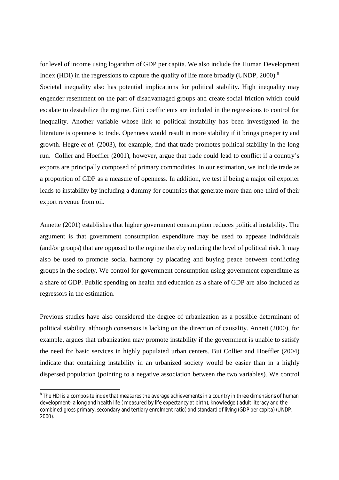for level of income using logarithm of GDP per capita. We also include the Human Development Index (HDI) in the regressions to capture the quality of life more broadly (UNDP, 2000).<sup>8</sup>

Societal inequality also has potential implications for political stability. High inequality may engender resentment on the part of disadvantaged groups and create social friction which could escalate to destabilize the regime. Gini coefficients are included in the regressions to control for inequality. Another variable whose link to political instability has been investigated in the literature is openness to trade. Openness would result in more stability if it brings prosperity and growth. Hegre *et al.* (2003), for example, find that trade promotes political stability in the long run. Collier and Hoeffler (2001), however, argue that trade could lead to conflict if a country's exports are principally composed of primary commodities. In our estimation, we include trade as a proportion of GDP as a measure of openness. In addition, we test if being a major oil exporter leads to instability by including a dummy for countries that generate more than one-third of their export revenue from oil.

Annette (2001) establishes that higher government consumption reduces political instability. The argument is that government consumption expenditure may be used to appease individuals (and/or groups) that are opposed to the regime thereby reducing the level of political risk. It may also be used to promote social harmony by placating and buying peace between conflicting groups in the society. We control for government consumption using government expenditure as a share of GDP. Public spending on health and education as a share of GDP are also included as regressors in the estimation.

Previous studies have also considered the degree of urbanization as a possible determinant of political stability, although consensus is lacking on the direction of causality. Annett (2000), for example, argues that urbanization may promote instability if the government is unable to satisfy the need for basic services in highly populated urban centers. But Collier and Hoeffler (2004) indicate that containing instability in an urbanized society would be easier than in a highly dispersed population (pointing to a negative association between the two variables). We control

 8 The HDI is a composite index that measures the average achievements in a country in three dimensions of human development- a long and health life ( measured by life expectancy at birth), knowledge ( adult literacy and the combined gross primary, secondary and tertiary enrolment ratio) and standard of living (GDP per capita) (UNDP, 2000).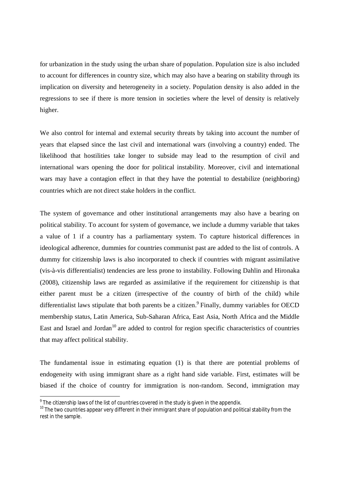for urbanization in the study using the urban share of population. Population size is also included to account for differences in country size, which may also have a bearing on stability through its implication on diversity and heterogeneity in a society. Population density is also added in the regressions to see if there is more tension in societies where the level of density is relatively higher.

We also control for internal and external security threats by taking into account the number of years that elapsed since the last civil and international wars (involving a country) ended. The likelihood that hostilities take longer to subside may lead to the resumption of civil and international wars opening the door for political instability. Moreover, civil and international wars may have a contagion effect in that they have the potential to destabilize (neighboring) countries which are not direct stake holders in the conflict.

The system of governance and other institutional arrangements may also have a bearing on political stability. To account for system of governance, we include a dummy variable that takes a value of 1 if a country has a parliamentary system. To capture historical differences in ideological adherence, dummies for countries communist past are added to the list of controls. A dummy for citizenship laws is also incorporated to check if countries with migrant assimilative (vis-à-vis differentialist) tendencies are less prone to instability. Following Dahlin and Hironaka (2008), citizenship laws are regarded as assimilative if the requirement for citizenship is that either parent must be a citizen (irrespective of the country of birth of the child) while differentialist laws stipulate that both parents be a citizen.<sup>9</sup> Finally, dummy variables for OECD membership status, Latin America, Sub-Saharan Africa, East Asia, North Africa and the Middle East and Israel and Jordan<sup>10</sup> are added to control for region specific characteristics of countries that may affect political stability.

The fundamental issue in estimating equation (1) is that there are potential problems of endogeneity with using immigrant share as a right hand side variable. First, estimates will be biased if the choice of country for immigration is non-random. Second, immigration may

-

 $^9$  The citizenship laws of the list of countries covered in the study is given in the appendix.

 $10$  The two countries appear very different in their immigrant share of population and political stability from the rest in the sample.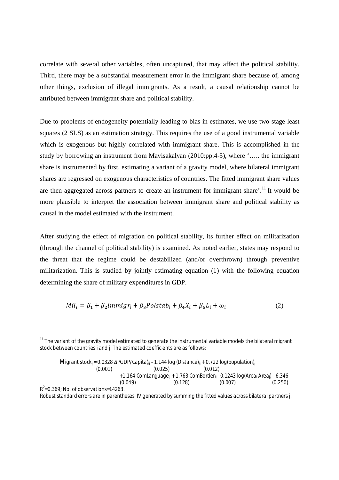correlate with several other variables, often uncaptured, that may affect the political stability. Third, there may be a substantial measurement error in the immigrant share because of, among other things, exclusion of illegal immigrants. As a result, a causal relationship cannot be attributed between immigrant share and political stability.

Due to problems of endogeneity potentially leading to bias in estimates, we use two stage least squares (2 SLS) as an estimation strategy. This requires the use of a good instrumental variable which is exogenous but highly correlated with immigrant share. This is accomplished in the study by borrowing an instrument from Mavisakalyan (2010:pp.4-5), where '….. the immigrant share is instrumented by first, estimating a variant of a gravity model, where bilateral immigrant shares are regressed on exogenous characteristics of countries. The fitted immigrant share values are then aggregated across partners to create an instrument for immigrant share'.<sup>11</sup> It would be more plausible to interpret the association between immigrant share and political stability as causal in the model estimated with the instrument.

After studying the effect of migration on political stability, its further effect on militarization (through the channel of political stability) is examined. As noted earlier, states may respond to the threat that the regime could be destabilized (and/or overthrown) through preventive militarization. This is studied by jointly estimating equation (1) with the following equation determining the share of military expenditures in GDP.

$$
Mil_i = \beta_1 + \beta_2 \, \text{immig} \, r_i + \beta_3 \, \text{Polstab}_i + \beta_4 X_i + \beta_5 L_i + \omega_i \tag{2}
$$

-

$$
\begin{array}{lll}\n\text{Migrant stock}_{ij} = 0.0328 \, \Delta \text{ (GDP/Capita)}_{ij} - 1.144 \, \text{log (Distance)}_{ij} + 0.722 \, \text{log(population)}_{ij} \\
& (0.001) & (0.025) & (0.012) \\
& + 1.164 \, \text{ComLanguage}_{ij} + 1.763 \, \text{ComBorder}_{ij} - 0.1243 \, \text{log(Area}_i \, \text{Area}_j) - 6.346 \\
& (0.049) & (0.128) & (0.007) & (0.250)\n\end{array}
$$

*Robust standard errors are in parentheses. IV generated by summing the fitted values across bilateral partners j.*

 $11$  The variant of the gravity model estimated to generate the instrumental variable models the bilateral migrant stock between countries *i* and *j*. The estimated coefficients are as follows: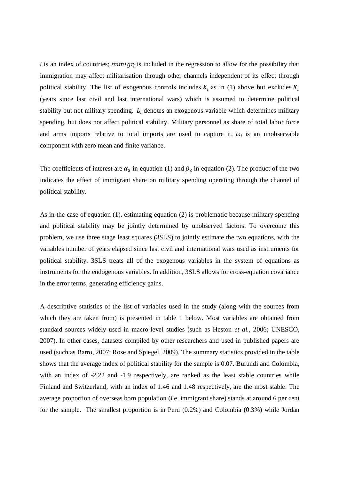$i$  is an index of countries;  $\liminf_{t \to i} f_i$  is included in the regression to allow for the possibility that immigration may affect militarisation through other channels independent of its effect through political stability. The list of exogenous controls includes  $X_i$  as in (1) above but excludes  $K_i$ (years since last civil and last international wars) which is assumed to determine political stability but not military spending.  $L_i$  denotes an exogenous variable which determines military spending, but does not affect political stability. Military personnel as share of total labor force and arms imports relative to total imports are used to capture it.  $\omega_i$  is an unobservable component with zero mean and finite variance.

The coefficients of interest are  $\alpha_2$  in equation (1) and  $\beta_3$  in equation (2). The product of the two indicates the effect of immigrant share on military spending operating through the channel of political stability.

As in the case of equation (1), estimating equation (2) is problematic because military spending and political stability may be jointly determined by unobserved factors. To overcome this problem, we use three stage least squares (3SLS) to jointly estimate the two equations, with the variables number of years elapsed since last civil and international wars used as instruments for political stability. 3SLS treats all of the exogenous variables in the system of equations as instruments for the endogenous variables. In addition, 3SLS allows for cross-equation covariance in the error terms, generating efficiency gains.

A descriptive statistics of the list of variables used in the study (along with the sources from which they are taken from) is presented in table 1 below. Most variables are obtained from standard sources widely used in macro-level studies (such as Heston *et al.*, 2006; UNESCO, 2007). In other cases, datasets compiled by other researchers and used in published papers are used (such as Barro, 2007; Rose and Spiegel, 2009). The summary statistics provided in the table shows that the average index of political stability for the sample is 0.07. Burundi and Colombia, with an index of -2.22 and -1.9 respectively, are ranked as the least stable countries while Finland and Switzerland, with an index of 1.46 and 1.48 respectively, are the most stable. The average proportion of overseas born population (i.e. immigrant share) stands at around 6 per cent for the sample. The smallest proportion is in Peru (0.2%) and Colombia (0.3%) while Jordan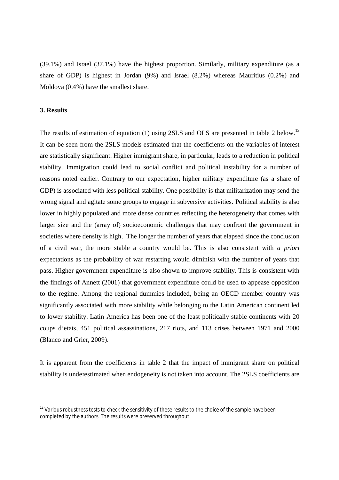(39.1%) and Israel (37.1%) have the highest proportion. Similarly, military expenditure (as a share of GDP) is highest in Jordan (9%) and Israel (8.2%) whereas Mauritius (0.2%) and Moldova (0.4%) have the smallest share.

### **3. Results**

-

The results of estimation of equation (1) using 2SLS and OLS are presented in table 2 below.<sup>12</sup> It can be seen from the 2SLS models estimated that the coefficients on the variables of interest are statistically significant. Higher immigrant share, in particular, leads to a reduction in political stability. Immigration could lead to social conflict and political instability for a number of reasons noted earlier. Contrary to our expectation, higher military expenditure (as a share of GDP) is associated with less political stability. One possibility is that militarization may send the wrong signal and agitate some groups to engage in subversive activities. Political stability is also lower in highly populated and more dense countries reflecting the heterogeneity that comes with larger size and the (array of) socioeconomic challenges that may confront the government in societies where density is high. The longer the number of years that elapsed since the conclusion of a civil war, the more stable a country would be. This is also consistent with *a priori* expectations as the probability of war restarting would diminish with the number of years that pass. Higher government expenditure is also shown to improve stability. This is consistent with the findings of Annett (2001) that government expenditure could be used to appease opposition to the regime. Among the regional dummies included, being an OECD member country was significantly associated with more stability while belonging to the Latin American continent led to lower stability. Latin America has been one of the least politically stable continents with 20 coups d'etats, 451 political assassinations, 217 riots, and 113 crises between 1971 and 2000 (Blanco and Grier, 2009).

It is apparent from the coefficients in table 2 that the impact of immigrant share on political stability is underestimated when endogeneity is not taken into account. The 2SLS coefficients are

 $12$  Various robustness tests to check the sensitivity of these results to the choice of the sample have been completed by the authors. The results were preserved throughout.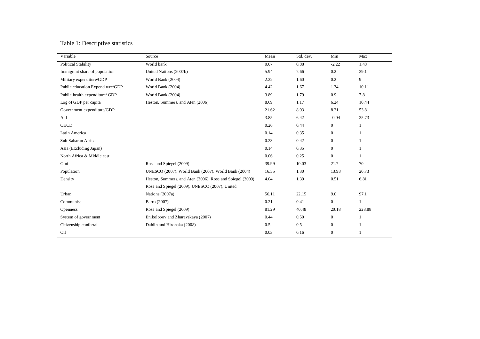## Table 1: Descriptive statistics

| World bank<br>0.07<br>0.88<br>$-2.22$<br>1.48<br>United Nations (2007b)<br>5.94<br>7.66<br>0.2<br>39.1<br>1.60<br>0.2<br>9<br>World Bank (2004)<br>2.22<br>World Bank (2004)<br>1.67<br>4.42<br>1.34<br>10.11<br>7.8<br>World Bank (2004)<br>3.89<br>1.79<br>0.9<br>8.69<br>1.17<br>10.44<br>Heston, Summers, and Aten (2006)<br>6.24<br>8.93<br>8.21<br>53.81<br>21.62<br>3.85<br>6.42<br>25.73<br>$-0.04$<br>0.26<br>0.44<br>$\boldsymbol{0}$<br>1<br>0.35<br>0.14<br>$\mathbf{0}$<br>0.23<br>0.42<br>$\mathbf{0}$<br>0.35<br>0.14<br>$\mathbf{0}$<br>0.06<br>0.25<br>$\mathbf{0}$<br>1<br>Rose and Spiegel (2009)<br>10.03<br>70<br>39.99<br>21.7<br>1.30<br>UNESCO (2007), World Bank (2007), World Bank (2004)<br>16.55<br>13.98<br>20.73<br>1.39<br>6.81<br>Heston, Summers, and Aten (2006), Rose and Spiegel (2009)<br>4.04<br>0.51<br>Rose and Spiegel (2009), UNESCO (2007), United<br>Nations (2007a)<br>56.11<br>22.15<br>9.0<br>97.1<br>0.21<br>0.41<br>Barro (2007)<br>$\boldsymbol{0}$<br>1<br>Rose and Spiegel (2009)<br>81.29<br>40.48<br>20.18<br>228.88<br>0.50<br>Enikolopov and Zhuravskaya (2007)<br>0.44<br>$\overline{0}$<br>Dahlin and Hironaka (2008)<br>0.5<br>$\boldsymbol{0}$<br>0.5<br>$\mathbf{1}$<br>0.16<br>$\boldsymbol{0}$<br>0.03 | Variable                         | Source | Mean | Std. dev. | Min | Max |
|-----------------------------------------------------------------------------------------------------------------------------------------------------------------------------------------------------------------------------------------------------------------------------------------------------------------------------------------------------------------------------------------------------------------------------------------------------------------------------------------------------------------------------------------------------------------------------------------------------------------------------------------------------------------------------------------------------------------------------------------------------------------------------------------------------------------------------------------------------------------------------------------------------------------------------------------------------------------------------------------------------------------------------------------------------------------------------------------------------------------------------------------------------------------------------------------------------------------------------------------------------------------------|----------------------------------|--------|------|-----------|-----|-----|
|                                                                                                                                                                                                                                                                                                                                                                                                                                                                                                                                                                                                                                                                                                                                                                                                                                                                                                                                                                                                                                                                                                                                                                                                                                                                       | <b>Political Stability</b>       |        |      |           |     |     |
|                                                                                                                                                                                                                                                                                                                                                                                                                                                                                                                                                                                                                                                                                                                                                                                                                                                                                                                                                                                                                                                                                                                                                                                                                                                                       | Immigrant share of population    |        |      |           |     |     |
|                                                                                                                                                                                                                                                                                                                                                                                                                                                                                                                                                                                                                                                                                                                                                                                                                                                                                                                                                                                                                                                                                                                                                                                                                                                                       | Military expenditure/GDP         |        |      |           |     |     |
|                                                                                                                                                                                                                                                                                                                                                                                                                                                                                                                                                                                                                                                                                                                                                                                                                                                                                                                                                                                                                                                                                                                                                                                                                                                                       | Public education Expenditure/GDP |        |      |           |     |     |
|                                                                                                                                                                                                                                                                                                                                                                                                                                                                                                                                                                                                                                                                                                                                                                                                                                                                                                                                                                                                                                                                                                                                                                                                                                                                       | Public health expenditure/ GDP   |        |      |           |     |     |
|                                                                                                                                                                                                                                                                                                                                                                                                                                                                                                                                                                                                                                                                                                                                                                                                                                                                                                                                                                                                                                                                                                                                                                                                                                                                       | Log of GDP per capita            |        |      |           |     |     |
|                                                                                                                                                                                                                                                                                                                                                                                                                                                                                                                                                                                                                                                                                                                                                                                                                                                                                                                                                                                                                                                                                                                                                                                                                                                                       | Government expenditure/GDP       |        |      |           |     |     |
|                                                                                                                                                                                                                                                                                                                                                                                                                                                                                                                                                                                                                                                                                                                                                                                                                                                                                                                                                                                                                                                                                                                                                                                                                                                                       | Aid                              |        |      |           |     |     |
|                                                                                                                                                                                                                                                                                                                                                                                                                                                                                                                                                                                                                                                                                                                                                                                                                                                                                                                                                                                                                                                                                                                                                                                                                                                                       | <b>OECD</b>                      |        |      |           |     |     |
|                                                                                                                                                                                                                                                                                                                                                                                                                                                                                                                                                                                                                                                                                                                                                                                                                                                                                                                                                                                                                                                                                                                                                                                                                                                                       | Latin America                    |        |      |           |     |     |
|                                                                                                                                                                                                                                                                                                                                                                                                                                                                                                                                                                                                                                                                                                                                                                                                                                                                                                                                                                                                                                                                                                                                                                                                                                                                       | Sub-Saharan Africa               |        |      |           |     |     |
|                                                                                                                                                                                                                                                                                                                                                                                                                                                                                                                                                                                                                                                                                                                                                                                                                                                                                                                                                                                                                                                                                                                                                                                                                                                                       | Asia (Excluding Japan)           |        |      |           |     |     |
|                                                                                                                                                                                                                                                                                                                                                                                                                                                                                                                                                                                                                                                                                                                                                                                                                                                                                                                                                                                                                                                                                                                                                                                                                                                                       | North Africa & Middle east       |        |      |           |     |     |
|                                                                                                                                                                                                                                                                                                                                                                                                                                                                                                                                                                                                                                                                                                                                                                                                                                                                                                                                                                                                                                                                                                                                                                                                                                                                       | Gini                             |        |      |           |     |     |
|                                                                                                                                                                                                                                                                                                                                                                                                                                                                                                                                                                                                                                                                                                                                                                                                                                                                                                                                                                                                                                                                                                                                                                                                                                                                       | Population                       |        |      |           |     |     |
|                                                                                                                                                                                                                                                                                                                                                                                                                                                                                                                                                                                                                                                                                                                                                                                                                                                                                                                                                                                                                                                                                                                                                                                                                                                                       | Density                          |        |      |           |     |     |
|                                                                                                                                                                                                                                                                                                                                                                                                                                                                                                                                                                                                                                                                                                                                                                                                                                                                                                                                                                                                                                                                                                                                                                                                                                                                       |                                  |        |      |           |     |     |
|                                                                                                                                                                                                                                                                                                                                                                                                                                                                                                                                                                                                                                                                                                                                                                                                                                                                                                                                                                                                                                                                                                                                                                                                                                                                       | Urban                            |        |      |           |     |     |
|                                                                                                                                                                                                                                                                                                                                                                                                                                                                                                                                                                                                                                                                                                                                                                                                                                                                                                                                                                                                                                                                                                                                                                                                                                                                       | Communist                        |        |      |           |     |     |
|                                                                                                                                                                                                                                                                                                                                                                                                                                                                                                                                                                                                                                                                                                                                                                                                                                                                                                                                                                                                                                                                                                                                                                                                                                                                       | <b>Openness</b>                  |        |      |           |     |     |
|                                                                                                                                                                                                                                                                                                                                                                                                                                                                                                                                                                                                                                                                                                                                                                                                                                                                                                                                                                                                                                                                                                                                                                                                                                                                       | System of government             |        |      |           |     |     |
|                                                                                                                                                                                                                                                                                                                                                                                                                                                                                                                                                                                                                                                                                                                                                                                                                                                                                                                                                                                                                                                                                                                                                                                                                                                                       | Citizenship conferral            |        |      |           |     |     |
|                                                                                                                                                                                                                                                                                                                                                                                                                                                                                                                                                                                                                                                                                                                                                                                                                                                                                                                                                                                                                                                                                                                                                                                                                                                                       | Oil                              |        |      |           |     |     |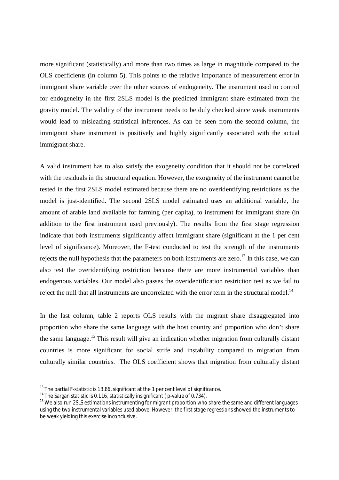more significant (statistically) and more than two times as large in magnitude compared to the OLS coefficients (in column 5). This points to the relative importance of measurement error in immigrant share variable over the other sources of endogeneity. The instrument used to control for endogeneity in the first 2SLS model is the predicted immigrant share estimated from the gravity model. The validity of the instrument needs to be duly checked since weak instruments would lead to misleading statistical inferences. As can be seen from the second column, the immigrant share instrument is positively and highly significantly associated with the actual immigrant share.

A valid instrument has to also satisfy the exogeneity condition that it should not be correlated with the residuals in the structural equation. However, the exogeneity of the instrument cannot be tested in the first 2SLS model estimated because there are no overidentifying restrictions as the model is just-identified. The second 2SLS model estimated uses an additional variable, the amount of arable land available for farming (per capita), to instrument for immigrant share (in addition to the first instrument used previously). The results from the first stage regression indicate that both instruments significantly affect immigrant share (significant at the 1 per cent level of significance). Moreover, the F-test conducted to test the strength of the instruments rejects the null hypothesis that the parameters on both instruments are zero.<sup>13</sup> In this case, we can also test the overidentifying restriction because there are more instrumental variables than endogenous variables. Our model also passes the overidentification restriction test as we fail to reject the null that all instruments are uncorrelated with the error term in the structural model.<sup>14</sup>

In the last column, table 2 reports OLS results with the migrant share disaggregated into proportion who share the same language with the host country and proportion who don't share the same language.<sup>15</sup> This result will give an indication whether migration from culturally distant countries is more significant for social strife and instability compared to migration from culturally similar countries. The OLS coefficient shows that migration from culturally distant

-

 $^{13}$  The partial F-statistic is 13.86, significant at the 1 per cent level of significance.

<sup>&</sup>lt;sup>14</sup> The Sargan statistic is 0.116, statistically insignificant (p-value of 0.734).

 $15$  We also run 2SLS estimations instrumenting for migrant proportion who share the same and different languages using the two instrumental variables used above. However, the first stage regressions showed the instruments to be weak yielding this exercise inconclusive.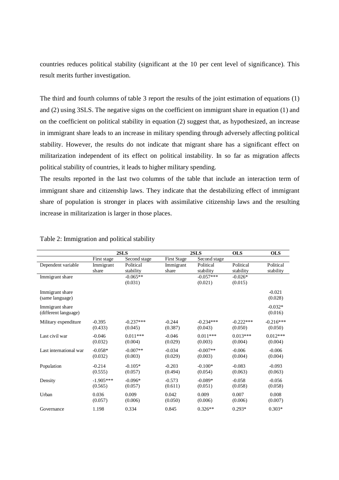countries reduces political stability (significant at the 10 per cent level of significance). This result merits further investigation.

The third and fourth columns of table 3 report the results of the joint estimation of equations (1) and (2) using 3SLS. The negative signs on the coefficient on immigrant share in equation (1) and on the coefficient on political stability in equation (2) suggest that, as hypothesized, an increase in immigrant share leads to an increase in military spending through adversely affecting political stability. However, the results do not indicate that migrant share has a significant effect on militarization independent of its effect on political instability. In so far as migration affects political stability of countries, it leads to higher military spending.

The results reported in the last two columns of the table that include an interaction term of immigrant share and citizenship laws. They indicate that the destabilizing effect of immigrant share of population is stronger in places with assimilative citizenship laws and the resulting increase in militarization is larger in those places.

|                                         | 2SLS        |              | 2SLS               |              | <b>OLS</b>  | <b>OLS</b>           |  |
|-----------------------------------------|-------------|--------------|--------------------|--------------|-------------|----------------------|--|
|                                         | First stage | Second stage | <b>First Stage</b> | Second stage |             |                      |  |
| Dependent variable                      | Immigrant   | Political    | Immigrant          | Political    | Political   | Political            |  |
|                                         | share       | stability    | share              | stability    | stability   | stability            |  |
| Immigrant share                         |             | $-0.065**$   |                    | $-0.057***$  | $-0.026*$   |                      |  |
|                                         |             | (0.031)      |                    | (0.021)      | (0.015)     |                      |  |
| Immigrant share                         |             |              |                    |              |             | $-0.021$             |  |
| (same language)                         |             |              |                    |              |             | (0.028)              |  |
|                                         |             |              |                    |              |             |                      |  |
| Immigrant share<br>(different language) |             |              |                    |              |             | $-0.032*$<br>(0.016) |  |
|                                         |             |              |                    |              |             |                      |  |
| Military expenditure                    | $-0.395$    | $-0.237***$  | $-0.244$           | $-0.234***$  | $-0.222***$ | $-0.216***$          |  |
|                                         | (0.433)     | (0.045)      | (0.387)            | (0.043)      | (0.050)     | (0.050)              |  |
| Last civil war                          | $-0.046$    | $0.011***$   | $-0.046$           | $0.011***$   | $0.013***$  | $0.012***$           |  |
|                                         | (0.032)     | (0.004)      | (0.029)            | (0.003)      | (0.004)     | (0.004)              |  |
| Last international war                  | $-0.058*$   | $-0.007**$   | $-0.034$           | $-0.007**$   | $-0.006$    | $-0.006$             |  |
|                                         | (0.032)     | (0.003)      | (0.029)            | (0.003)      | (0.004)     | (0.004)              |  |
|                                         |             |              |                    |              |             |                      |  |
| Population                              | $-0.214$    | $-0.105*$    | $-0.203$           | $-0.100*$    | $-0.083$    | $-0.093$             |  |
|                                         | (0.555)     | (0.057)      | (0.494)            | (0.054)      | (0.063)     | (0.063)              |  |
| Density                                 | $-1.905***$ | $-0.096*$    | $-0.573$           | $-0.089*$    | $-0.058$    | $-0.056$             |  |
|                                         | (0.565)     | (0.057)      | (0.611)            | (0.051)      | (0.058)     | (0.058)              |  |
| Urban                                   | 0.036       | 0.009        | 0.042              | 0.009        | 0.007       | 0.008                |  |
|                                         | (0.057)     | (0.006)      | (0.050)            | (0.006)      | (0.006)     | (0.007)              |  |
|                                         | 1.198       | 0.334        | 0.845              | $0.326**$    | $0.293*$    | $0.303*$             |  |
| Governance                              |             |              |                    |              |             |                      |  |

### Table 2: Immigration and political stability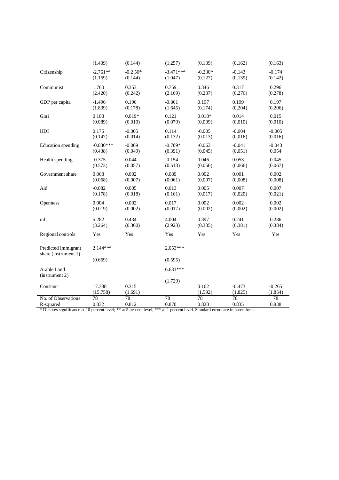|                                                                                                                                           | (1.409)            | (0.144)          | (1.257)     | (0.139)          | (0.162)             | (0.163)             |
|-------------------------------------------------------------------------------------------------------------------------------------------|--------------------|------------------|-------------|------------------|---------------------|---------------------|
| Citizenship                                                                                                                               | $-2.761**$         | $-0.250*$        | $-3.471***$ | $-0.230*$        | $-0.143$            | $-0.174$            |
|                                                                                                                                           | (1.159)            | (0.144)          | (1.047)     | (0.127)          | (0.139)             | (0.142)             |
| Communist                                                                                                                                 | 1.760              | 0.353            | 0.759       | 0.346            | 0.317               | 0.296               |
|                                                                                                                                           | (2.420)            | (0.242)          | (2.169)     | (0.237)          | (0.276)             | (0.278)             |
| GDP per capita                                                                                                                            | $-1.496$           | 0.196            | $-0.861$    | 0.197            | 0.199               | 0.197               |
|                                                                                                                                           | (1.839)            | (0.178)          | (1.645)     | (0.174)          | (0.204)             | (0.206)             |
| Gini                                                                                                                                      | 0.108              | $0.019*$         | 0.121       | $0.018*$         | 0.014               | 0.015               |
|                                                                                                                                           | (0.089)            | (0.010)          | (0.079)     | (0.009)          | (0.010)             | (0.010)             |
| HDI                                                                                                                                       | 0.175              | $-0.005$         | 0.114       | $-0.005$         | $-0.004$            | $-0.005$            |
|                                                                                                                                           | (0.147)            | (0.014)          | (0.132)     | (0.013)          | (0.016)             | (0.016)             |
| Education spending                                                                                                                        | $-0.830***$        | $-0.069$         | $-0.709*$   | $-0.063$         | $-0.041$            | $-0.043$            |
|                                                                                                                                           | (0.438)            | (0.049)          | (0.391)     | (0.045)          | (0.051)             | 0.054               |
| Health spending                                                                                                                           | $-0.375$           | 0.044            | $-0.154$    | 0.046            | 0.053               | 0.045               |
|                                                                                                                                           | (0.573)            | (0.057)          | (0.513)     | (0.056)          | (0.066)             | (0.067)             |
| Government share                                                                                                                          | 0.068              | 0.002            | 0.089       | 0.002            | 0.001               | 0.002               |
|                                                                                                                                           | (0.068)            | (0.007)          | (0.061)     | (0.007)          | (0.008)             | (0.008)             |
| Aid                                                                                                                                       | $-0.082$           | 0.005            | 0.013       | 0.005            | 0.007               | 0.007               |
|                                                                                                                                           | (0.178)            | (0.018)          | (0.161)     | (0.017)          | (0.020)             | (0.021)             |
| Openness                                                                                                                                  | 0.004              | 0.002            | 0.017       | 0.002            | 0.002               | 0.002               |
|                                                                                                                                           | (0.019)            | (0.002)          | (0.017)     | (0.002)          | (0.002)             | (0.002)             |
| oil                                                                                                                                       | 5.282              | 0.434            | 4.004       | 0.397            | 0.241               | 0.286               |
|                                                                                                                                           | (3.264)            | (0.360)          | (2.923)     | (0.335)          | (0.381)             | (0.384)             |
| Regional controls                                                                                                                         | Yes                | Yes              | Yes         | Yes              | Yes                 | Yes                 |
| Predicted Immigrant<br>share (instrument 1)                                                                                               | $2.144***$         |                  | 2.053***    |                  |                     |                     |
|                                                                                                                                           | (0.669)            |                  | (0.595)     |                  |                     |                     |
| Arable Land<br>(instrument 2)                                                                                                             |                    |                  | $6.631***$  |                  |                     |                     |
| Constant                                                                                                                                  | 17.388<br>(15.758) | 0.315<br>(1.691) | (1.729)     | 0.162<br>(1.592) | $-0.473$<br>(1.825) | $-0.265$<br>(1.854) |
| No. of Observations                                                                                                                       | 78                 | 78               | 78          | 78               | 78                  | 78                  |
| R-squared<br>* Denotes significance at 10 percent level: ** at 5 percent level: ** at 1 percent level. Standard errors are in parapphesis | 0.832              | 0.812            | 0.870       | 0.820            | 0.835               | 0.838               |

\* Denotes significance at 10 percent level; \*\* at 5 percent level; \*\*\* at 1 percent level. Standard errors are in parenthesis.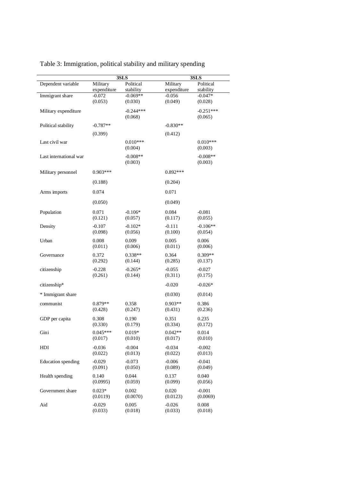| Dependent variable<br>Military<br>Political<br>Military<br>Political<br>expenditure<br>stability<br>expenditure<br>stability<br>$-0.069**$<br>$-0.056$<br>Immigrant share<br>$-0.072$<br>$-0.047*$<br>(0.053)<br>(0.030)<br>(0.049)<br>(0.028)<br>Military expenditure<br>$-0.244***$<br>$-0.251***$<br>(0.068)<br>(0.065)<br>Political stability<br>$-0.787**$<br>$-0.830**$<br>(0.399)<br>(0.412)<br>Last civil war<br>$0.010***$<br>$0.010***$<br>(0.004)<br>(0.003)<br>$-0.008**$<br>Last international war<br>$-0.008**$<br>(0.003)<br>(0.003)<br>$0.903***$<br>$0.892***$<br>Military personnel<br>(0.204)<br>(0.188)<br>0.071<br>Arms imports<br>0.074<br>(0.050)<br>(0.049)<br>Population<br>$-0.106*$<br>0.071<br>0.084<br>$-0.081$<br>(0.121)<br>(0.117)<br>(0.055)<br>(0.057)<br>$-0.107$<br>$-0.102*$<br>$-0.111$<br>$-0.106**$<br>Density<br>(0.098)<br>(0.056)<br>(0.100)<br>(0.054)<br>0.008<br>0.009<br>0.005<br>0.006<br>Urban<br>(0.011)<br>(0.011)<br>(0.006)<br>(0.006)<br>$0.338**$<br>$0.309**$<br>0.372<br>0.364<br>Governance<br>(0.292)<br>(0.285)<br>(0.144)<br>(0.137)<br>$-0.228$<br>$-0.265*$<br>$-0.055$<br>citizenship<br>-0.027<br>(0.261)<br>(0.144)<br>(0.311)<br>(0.175)<br>citizenship*<br>$-0.020$<br>$-0.026*$<br>* Immigrant share<br>(0.030)<br>(0.014)<br>0.358<br>$0.903**$<br>communist<br>$0.879**$<br>0.386<br>(0.428)<br>(0.247)<br>(0.431)<br>(0.236)<br>0.190<br>0.351<br>GDP per capita<br>0.308<br>0.235<br>(0.330)<br>(0.179)<br>(0.334)<br>(0.172)<br>Gini<br>$0.045***$<br>$0.019*$<br>$0.042**$<br>0.014<br>(0.017)<br>(0.010)<br>(0.010)<br>(0.017)<br>HDI<br>$-0.036$<br>$-0.004$<br>$-0.034$<br>$-0.002$<br>(0.022)<br>(0.013)<br>(0.013)<br>(0.022)<br>Education spending<br>$-0.029$<br>$-0.073$<br>$-0.006$<br>-0.041<br>(0.091)<br>(0.050)<br>(0.089)<br>(0.049)<br>Health spending<br>0.140<br>0.044<br>0.040<br>0.137<br>(0.0995)<br>(0.059)<br>(0.099)<br>(0.056)<br>Government share<br>$0.023*$<br>0.002<br>0.020<br>$-0.001$<br>(0.0070)<br>(0.0119)<br>(0.0123)<br>(0.0069)<br>Aid<br>$-0.029$<br>0.005<br>0.008<br>$-0.026$<br>(0.033)<br>(0.018)<br>(0.033)<br>(0.018) |  | 3SLS | 3SLS |
|----------------------------------------------------------------------------------------------------------------------------------------------------------------------------------------------------------------------------------------------------------------------------------------------------------------------------------------------------------------------------------------------------------------------------------------------------------------------------------------------------------------------------------------------------------------------------------------------------------------------------------------------------------------------------------------------------------------------------------------------------------------------------------------------------------------------------------------------------------------------------------------------------------------------------------------------------------------------------------------------------------------------------------------------------------------------------------------------------------------------------------------------------------------------------------------------------------------------------------------------------------------------------------------------------------------------------------------------------------------------------------------------------------------------------------------------------------------------------------------------------------------------------------------------------------------------------------------------------------------------------------------------------------------------------------------------------------------------------------------------------------------------------------------------------------------------------------------------------------------------------------------------------------------------------------------------------------------------------------------------------------------------------------------------------------------------------------------------------------------------------------------------|--|------|------|
|                                                                                                                                                                                                                                                                                                                                                                                                                                                                                                                                                                                                                                                                                                                                                                                                                                                                                                                                                                                                                                                                                                                                                                                                                                                                                                                                                                                                                                                                                                                                                                                                                                                                                                                                                                                                                                                                                                                                                                                                                                                                                                                                              |  |      |      |
|                                                                                                                                                                                                                                                                                                                                                                                                                                                                                                                                                                                                                                                                                                                                                                                                                                                                                                                                                                                                                                                                                                                                                                                                                                                                                                                                                                                                                                                                                                                                                                                                                                                                                                                                                                                                                                                                                                                                                                                                                                                                                                                                              |  |      |      |
|                                                                                                                                                                                                                                                                                                                                                                                                                                                                                                                                                                                                                                                                                                                                                                                                                                                                                                                                                                                                                                                                                                                                                                                                                                                                                                                                                                                                                                                                                                                                                                                                                                                                                                                                                                                                                                                                                                                                                                                                                                                                                                                                              |  |      |      |
|                                                                                                                                                                                                                                                                                                                                                                                                                                                                                                                                                                                                                                                                                                                                                                                                                                                                                                                                                                                                                                                                                                                                                                                                                                                                                                                                                                                                                                                                                                                                                                                                                                                                                                                                                                                                                                                                                                                                                                                                                                                                                                                                              |  |      |      |
|                                                                                                                                                                                                                                                                                                                                                                                                                                                                                                                                                                                                                                                                                                                                                                                                                                                                                                                                                                                                                                                                                                                                                                                                                                                                                                                                                                                                                                                                                                                                                                                                                                                                                                                                                                                                                                                                                                                                                                                                                                                                                                                                              |  |      |      |
|                                                                                                                                                                                                                                                                                                                                                                                                                                                                                                                                                                                                                                                                                                                                                                                                                                                                                                                                                                                                                                                                                                                                                                                                                                                                                                                                                                                                                                                                                                                                                                                                                                                                                                                                                                                                                                                                                                                                                                                                                                                                                                                                              |  |      |      |
|                                                                                                                                                                                                                                                                                                                                                                                                                                                                                                                                                                                                                                                                                                                                                                                                                                                                                                                                                                                                                                                                                                                                                                                                                                                                                                                                                                                                                                                                                                                                                                                                                                                                                                                                                                                                                                                                                                                                                                                                                                                                                                                                              |  |      |      |
|                                                                                                                                                                                                                                                                                                                                                                                                                                                                                                                                                                                                                                                                                                                                                                                                                                                                                                                                                                                                                                                                                                                                                                                                                                                                                                                                                                                                                                                                                                                                                                                                                                                                                                                                                                                                                                                                                                                                                                                                                                                                                                                                              |  |      |      |
|                                                                                                                                                                                                                                                                                                                                                                                                                                                                                                                                                                                                                                                                                                                                                                                                                                                                                                                                                                                                                                                                                                                                                                                                                                                                                                                                                                                                                                                                                                                                                                                                                                                                                                                                                                                                                                                                                                                                                                                                                                                                                                                                              |  |      |      |
|                                                                                                                                                                                                                                                                                                                                                                                                                                                                                                                                                                                                                                                                                                                                                                                                                                                                                                                                                                                                                                                                                                                                                                                                                                                                                                                                                                                                                                                                                                                                                                                                                                                                                                                                                                                                                                                                                                                                                                                                                                                                                                                                              |  |      |      |
|                                                                                                                                                                                                                                                                                                                                                                                                                                                                                                                                                                                                                                                                                                                                                                                                                                                                                                                                                                                                                                                                                                                                                                                                                                                                                                                                                                                                                                                                                                                                                                                                                                                                                                                                                                                                                                                                                                                                                                                                                                                                                                                                              |  |      |      |
|                                                                                                                                                                                                                                                                                                                                                                                                                                                                                                                                                                                                                                                                                                                                                                                                                                                                                                                                                                                                                                                                                                                                                                                                                                                                                                                                                                                                                                                                                                                                                                                                                                                                                                                                                                                                                                                                                                                                                                                                                                                                                                                                              |  |      |      |
|                                                                                                                                                                                                                                                                                                                                                                                                                                                                                                                                                                                                                                                                                                                                                                                                                                                                                                                                                                                                                                                                                                                                                                                                                                                                                                                                                                                                                                                                                                                                                                                                                                                                                                                                                                                                                                                                                                                                                                                                                                                                                                                                              |  |      |      |
|                                                                                                                                                                                                                                                                                                                                                                                                                                                                                                                                                                                                                                                                                                                                                                                                                                                                                                                                                                                                                                                                                                                                                                                                                                                                                                                                                                                                                                                                                                                                                                                                                                                                                                                                                                                                                                                                                                                                                                                                                                                                                                                                              |  |      |      |
|                                                                                                                                                                                                                                                                                                                                                                                                                                                                                                                                                                                                                                                                                                                                                                                                                                                                                                                                                                                                                                                                                                                                                                                                                                                                                                                                                                                                                                                                                                                                                                                                                                                                                                                                                                                                                                                                                                                                                                                                                                                                                                                                              |  |      |      |
|                                                                                                                                                                                                                                                                                                                                                                                                                                                                                                                                                                                                                                                                                                                                                                                                                                                                                                                                                                                                                                                                                                                                                                                                                                                                                                                                                                                                                                                                                                                                                                                                                                                                                                                                                                                                                                                                                                                                                                                                                                                                                                                                              |  |      |      |
|                                                                                                                                                                                                                                                                                                                                                                                                                                                                                                                                                                                                                                                                                                                                                                                                                                                                                                                                                                                                                                                                                                                                                                                                                                                                                                                                                                                                                                                                                                                                                                                                                                                                                                                                                                                                                                                                                                                                                                                                                                                                                                                                              |  |      |      |
|                                                                                                                                                                                                                                                                                                                                                                                                                                                                                                                                                                                                                                                                                                                                                                                                                                                                                                                                                                                                                                                                                                                                                                                                                                                                                                                                                                                                                                                                                                                                                                                                                                                                                                                                                                                                                                                                                                                                                                                                                                                                                                                                              |  |      |      |
|                                                                                                                                                                                                                                                                                                                                                                                                                                                                                                                                                                                                                                                                                                                                                                                                                                                                                                                                                                                                                                                                                                                                                                                                                                                                                                                                                                                                                                                                                                                                                                                                                                                                                                                                                                                                                                                                                                                                                                                                                                                                                                                                              |  |      |      |
|                                                                                                                                                                                                                                                                                                                                                                                                                                                                                                                                                                                                                                                                                                                                                                                                                                                                                                                                                                                                                                                                                                                                                                                                                                                                                                                                                                                                                                                                                                                                                                                                                                                                                                                                                                                                                                                                                                                                                                                                                                                                                                                                              |  |      |      |
|                                                                                                                                                                                                                                                                                                                                                                                                                                                                                                                                                                                                                                                                                                                                                                                                                                                                                                                                                                                                                                                                                                                                                                                                                                                                                                                                                                                                                                                                                                                                                                                                                                                                                                                                                                                                                                                                                                                                                                                                                                                                                                                                              |  |      |      |
|                                                                                                                                                                                                                                                                                                                                                                                                                                                                                                                                                                                                                                                                                                                                                                                                                                                                                                                                                                                                                                                                                                                                                                                                                                                                                                                                                                                                                                                                                                                                                                                                                                                                                                                                                                                                                                                                                                                                                                                                                                                                                                                                              |  |      |      |
|                                                                                                                                                                                                                                                                                                                                                                                                                                                                                                                                                                                                                                                                                                                                                                                                                                                                                                                                                                                                                                                                                                                                                                                                                                                                                                                                                                                                                                                                                                                                                                                                                                                                                                                                                                                                                                                                                                                                                                                                                                                                                                                                              |  |      |      |
|                                                                                                                                                                                                                                                                                                                                                                                                                                                                                                                                                                                                                                                                                                                                                                                                                                                                                                                                                                                                                                                                                                                                                                                                                                                                                                                                                                                                                                                                                                                                                                                                                                                                                                                                                                                                                                                                                                                                                                                                                                                                                                                                              |  |      |      |
|                                                                                                                                                                                                                                                                                                                                                                                                                                                                                                                                                                                                                                                                                                                                                                                                                                                                                                                                                                                                                                                                                                                                                                                                                                                                                                                                                                                                                                                                                                                                                                                                                                                                                                                                                                                                                                                                                                                                                                                                                                                                                                                                              |  |      |      |
|                                                                                                                                                                                                                                                                                                                                                                                                                                                                                                                                                                                                                                                                                                                                                                                                                                                                                                                                                                                                                                                                                                                                                                                                                                                                                                                                                                                                                                                                                                                                                                                                                                                                                                                                                                                                                                                                                                                                                                                                                                                                                                                                              |  |      |      |
|                                                                                                                                                                                                                                                                                                                                                                                                                                                                                                                                                                                                                                                                                                                                                                                                                                                                                                                                                                                                                                                                                                                                                                                                                                                                                                                                                                                                                                                                                                                                                                                                                                                                                                                                                                                                                                                                                                                                                                                                                                                                                                                                              |  |      |      |
|                                                                                                                                                                                                                                                                                                                                                                                                                                                                                                                                                                                                                                                                                                                                                                                                                                                                                                                                                                                                                                                                                                                                                                                                                                                                                                                                                                                                                                                                                                                                                                                                                                                                                                                                                                                                                                                                                                                                                                                                                                                                                                                                              |  |      |      |
|                                                                                                                                                                                                                                                                                                                                                                                                                                                                                                                                                                                                                                                                                                                                                                                                                                                                                                                                                                                                                                                                                                                                                                                                                                                                                                                                                                                                                                                                                                                                                                                                                                                                                                                                                                                                                                                                                                                                                                                                                                                                                                                                              |  |      |      |
|                                                                                                                                                                                                                                                                                                                                                                                                                                                                                                                                                                                                                                                                                                                                                                                                                                                                                                                                                                                                                                                                                                                                                                                                                                                                                                                                                                                                                                                                                                                                                                                                                                                                                                                                                                                                                                                                                                                                                                                                                                                                                                                                              |  |      |      |
|                                                                                                                                                                                                                                                                                                                                                                                                                                                                                                                                                                                                                                                                                                                                                                                                                                                                                                                                                                                                                                                                                                                                                                                                                                                                                                                                                                                                                                                                                                                                                                                                                                                                                                                                                                                                                                                                                                                                                                                                                                                                                                                                              |  |      |      |
|                                                                                                                                                                                                                                                                                                                                                                                                                                                                                                                                                                                                                                                                                                                                                                                                                                                                                                                                                                                                                                                                                                                                                                                                                                                                                                                                                                                                                                                                                                                                                                                                                                                                                                                                                                                                                                                                                                                                                                                                                                                                                                                                              |  |      |      |
|                                                                                                                                                                                                                                                                                                                                                                                                                                                                                                                                                                                                                                                                                                                                                                                                                                                                                                                                                                                                                                                                                                                                                                                                                                                                                                                                                                                                                                                                                                                                                                                                                                                                                                                                                                                                                                                                                                                                                                                                                                                                                                                                              |  |      |      |
|                                                                                                                                                                                                                                                                                                                                                                                                                                                                                                                                                                                                                                                                                                                                                                                                                                                                                                                                                                                                                                                                                                                                                                                                                                                                                                                                                                                                                                                                                                                                                                                                                                                                                                                                                                                                                                                                                                                                                                                                                                                                                                                                              |  |      |      |
|                                                                                                                                                                                                                                                                                                                                                                                                                                                                                                                                                                                                                                                                                                                                                                                                                                                                                                                                                                                                                                                                                                                                                                                                                                                                                                                                                                                                                                                                                                                                                                                                                                                                                                                                                                                                                                                                                                                                                                                                                                                                                                                                              |  |      |      |
|                                                                                                                                                                                                                                                                                                                                                                                                                                                                                                                                                                                                                                                                                                                                                                                                                                                                                                                                                                                                                                                                                                                                                                                                                                                                                                                                                                                                                                                                                                                                                                                                                                                                                                                                                                                                                                                                                                                                                                                                                                                                                                                                              |  |      |      |
|                                                                                                                                                                                                                                                                                                                                                                                                                                                                                                                                                                                                                                                                                                                                                                                                                                                                                                                                                                                                                                                                                                                                                                                                                                                                                                                                                                                                                                                                                                                                                                                                                                                                                                                                                                                                                                                                                                                                                                                                                                                                                                                                              |  |      |      |
|                                                                                                                                                                                                                                                                                                                                                                                                                                                                                                                                                                                                                                                                                                                                                                                                                                                                                                                                                                                                                                                                                                                                                                                                                                                                                                                                                                                                                                                                                                                                                                                                                                                                                                                                                                                                                                                                                                                                                                                                                                                                                                                                              |  |      |      |
|                                                                                                                                                                                                                                                                                                                                                                                                                                                                                                                                                                                                                                                                                                                                                                                                                                                                                                                                                                                                                                                                                                                                                                                                                                                                                                                                                                                                                                                                                                                                                                                                                                                                                                                                                                                                                                                                                                                                                                                                                                                                                                                                              |  |      |      |
|                                                                                                                                                                                                                                                                                                                                                                                                                                                                                                                                                                                                                                                                                                                                                                                                                                                                                                                                                                                                                                                                                                                                                                                                                                                                                                                                                                                                                                                                                                                                                                                                                                                                                                                                                                                                                                                                                                                                                                                                                                                                                                                                              |  |      |      |
|                                                                                                                                                                                                                                                                                                                                                                                                                                                                                                                                                                                                                                                                                                                                                                                                                                                                                                                                                                                                                                                                                                                                                                                                                                                                                                                                                                                                                                                                                                                                                                                                                                                                                                                                                                                                                                                                                                                                                                                                                                                                                                                                              |  |      |      |
|                                                                                                                                                                                                                                                                                                                                                                                                                                                                                                                                                                                                                                                                                                                                                                                                                                                                                                                                                                                                                                                                                                                                                                                                                                                                                                                                                                                                                                                                                                                                                                                                                                                                                                                                                                                                                                                                                                                                                                                                                                                                                                                                              |  |      |      |
|                                                                                                                                                                                                                                                                                                                                                                                                                                                                                                                                                                                                                                                                                                                                                                                                                                                                                                                                                                                                                                                                                                                                                                                                                                                                                                                                                                                                                                                                                                                                                                                                                                                                                                                                                                                                                                                                                                                                                                                                                                                                                                                                              |  |      |      |
|                                                                                                                                                                                                                                                                                                                                                                                                                                                                                                                                                                                                                                                                                                                                                                                                                                                                                                                                                                                                                                                                                                                                                                                                                                                                                                                                                                                                                                                                                                                                                                                                                                                                                                                                                                                                                                                                                                                                                                                                                                                                                                                                              |  |      |      |
|                                                                                                                                                                                                                                                                                                                                                                                                                                                                                                                                                                                                                                                                                                                                                                                                                                                                                                                                                                                                                                                                                                                                                                                                                                                                                                                                                                                                                                                                                                                                                                                                                                                                                                                                                                                                                                                                                                                                                                                                                                                                                                                                              |  |      |      |
|                                                                                                                                                                                                                                                                                                                                                                                                                                                                                                                                                                                                                                                                                                                                                                                                                                                                                                                                                                                                                                                                                                                                                                                                                                                                                                                                                                                                                                                                                                                                                                                                                                                                                                                                                                                                                                                                                                                                                                                                                                                                                                                                              |  |      |      |
|                                                                                                                                                                                                                                                                                                                                                                                                                                                                                                                                                                                                                                                                                                                                                                                                                                                                                                                                                                                                                                                                                                                                                                                                                                                                                                                                                                                                                                                                                                                                                                                                                                                                                                                                                                                                                                                                                                                                                                                                                                                                                                                                              |  |      |      |
|                                                                                                                                                                                                                                                                                                                                                                                                                                                                                                                                                                                                                                                                                                                                                                                                                                                                                                                                                                                                                                                                                                                                                                                                                                                                                                                                                                                                                                                                                                                                                                                                                                                                                                                                                                                                                                                                                                                                                                                                                                                                                                                                              |  |      |      |
|                                                                                                                                                                                                                                                                                                                                                                                                                                                                                                                                                                                                                                                                                                                                                                                                                                                                                                                                                                                                                                                                                                                                                                                                                                                                                                                                                                                                                                                                                                                                                                                                                                                                                                                                                                                                                                                                                                                                                                                                                                                                                                                                              |  |      |      |

# Table 3: Immigration, political stability and military spending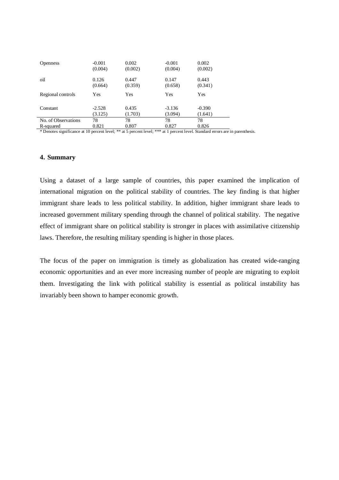| <b>Openness</b>     | $-0.001$ | 0.002   | $-0.001$ | 0.002    |
|---------------------|----------|---------|----------|----------|
|                     | (0.004)  | (0.002) | (0.004)  | (0.002)  |
| oil                 | 0.126    | 0.447   | 0.147    | 0.443    |
|                     | (0.664)  | (0.359) | (0.658)  | (0.341)  |
| Regional controls   | Yes      | Yes     | Yes      | Yes      |
| Constant            | $-2.528$ | 0.435   | $-3.136$ | $-0.390$ |
|                     | (3.125)  | (1.703) | (3.094)  | (1.641)  |
| No. of Observations | 78       | 78      | 78       | 78       |
| R-squared           | 0.821    | 0.807   | 0.827    | 0.826    |

\* Denotes significance at 10 percent level; \*\* at 5 percent level; \*\*\* at 1 percent level. Standard errors are in parenthesis.

#### **4. Summary**

Using a dataset of a large sample of countries, this paper examined the implication of international migration on the political stability of countries. The key finding is that higher immigrant share leads to less political stability. In addition, higher immigrant share leads to increased government military spending through the channel of political stability. The negative effect of immigrant share on political stability is stronger in places with assimilative citizenship laws. Therefore, the resulting military spending is higher in those places.

The focus of the paper on immigration is timely as globalization has created wide-ranging economic opportunities and an ever more increasing number of people are migrating to exploit them. Investigating the link with political stability is essential as political instability has invariably been shown to hamper economic growth.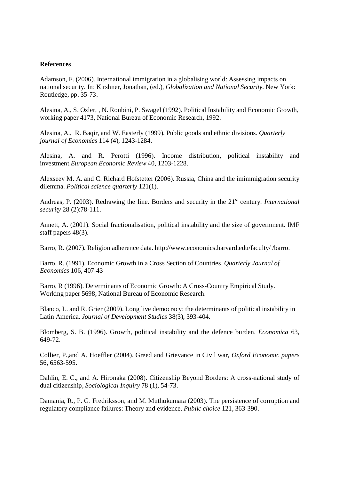### **References**

Adamson, F. (2006). International immigration in a globalising world: Assessing impacts on national security. In: Kirshner, Jonathan, (ed.), *Globalization and National Security.* New York: Routledge, pp. 35-73.

Alesina, A., S. Ozler, , N. Roubini, P. Swagel (1992). Political Instability and Economic Growth, working paper 4173, National Bureau of Economic Research, 1992.

Alesina, A., R. Baqir, and W. Easterly (1999). Public goods and ethnic divisions. *Quarterly journal of Economics* 114 (4), 1243-1284.

Alesina, A. and R. Perotti (1996). Income distribution, political instability and investment.*European Economic Review* 40, 1203-1228.

Alexseev M. A. and C. Richard Hofstetter (2006). Russia, China and the imimmigration security dilemma. *Political science quarterly* 121(1).

Andreas, P. (2003). Redrawing the line. Borders and security in the 21<sup>st</sup> century. *International security* 28 (2):78-111.

Annett, A. (2001). Social fractionalisation, political instability and the size of government. IMF staff papers 48(3).

Barro, R. (2007). Religion adherence data. http://www.economics.harvard.edu/faculty/ /barro.

Barro, R. (1991). Economic Growth in a Cross Section of Countries. *Quarterly Journal of Economics* 106, 407-43

Barro, R (1996). Determinants of Economic Growth: A Cross-Country Empirical Study. Working paper 5698, National Bureau of Economic Research.

Blanco, L. and R. Grier (2009). Long live democracy: the determinants of political instability in Latin America. *Journal of Development Studies* 38(3), 393-404.

Blomberg, S. B. (1996). Growth, political instability and the defence burden. *Economica* 63, 649-72.

Collier, P.,and A. Hoeffler (2004). Greed and Grievance in Civil war, *Oxford Economic papers* 56, 6563-595.

Dahlin, E. C., and A. Hironaka (2008). Citizenship Beyond Borders: A cross-national study of dual citizenship, *Sociological Inquiry* 78 (1), 54-73.

Damania, R., P. G. Fredriksson, and M. Muthukumara (2003). The persistence of corruption and regulatory compliance failures: Theory and evidence. *Public choice* 121, 363-390.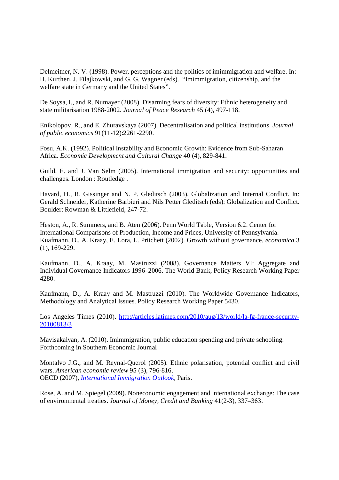Delmeitner, N. V. (1998). Power, perceptions and the politics of imimmigration and welfare. In: H. Kurthen, J. Filajkowski, and G. G. Wagner (eds). "Imimmigration, citizenship, and the welfare state in Germany and the United States".

De Soysa, I., and R. Numayer (2008). Disarming fears of diversity: Ethnic heterogeneity and state militarisation 1988-2002. *Journal of Peace Research* 45 (4), 497-118.

Enikolopov, R., and E. Zhuravskaya (2007). Decentralisation and political institutions. *Journal of public economics* 91(11-12):2261-2290.

Fosu, A.K. (1992). Political Instability and Economic Growth: Evidence from Sub-Saharan Africa. *Economic Development and Cultural Change* 40 (4), 829-841.

Guild, E. and J. Van Selm (2005). International immigration and security: opportunities and challenges. London : Routledge .

Havard, H., R. Gissinger and N. P. Gleditsch (2003). Globalization and Internal Conflict. In: Gerald Schneider, Katherine Barbieri and Nils Petter Gleditsch (eds): Globalization and Conflict. Boulder: Rowman & Littlefield, 247-72.

Heston, A., R. Summers, and B. Aten (2006). Penn World Table, Version 6.2. Center for International Comparisons of Production, Income and Prices, University of Pennsylvania. Kuafmann, D., A. Kraay, E. Lora, L. Pritchett (2002). Growth without governance, *economica* 3 (1), 169-229.

Kaufmann, D., A. Kraay, M. Mastruzzi (2008). Governance Matters VI: Aggregate and Individual Governance Indicators 1996–2006. The World Bank, Policy Research Working Paper 4280.

Kaufmann, D., A. Kraay and M. Mastruzzi (2010). The Worldwide Governance Indicators, Methodology and Analytical Issues. Policy Research Working Paper 5430.

Los Angeles Times (2010). http://articles.latimes.com/2010/aug/13/world/la-fg-france-security-20100813/3

Mavisakalyan, A. (2010). Imimmigration, public education spending and private schooling. Forthcoming in Southern Economic Journal

Montalvo J.G., and M. Reynal-Querol (2005). Ethnic polarisation, potential conflict and civil wars. *American economic review* 95 (3), 796-816. OECD (2007), *International Immigration Outlook*, Paris.

Rose, A. and M. Spiegel (2009). Noneconomic engagement and international exchange: The case of environmental treaties. *Journal of Money, Credit and Banking* 41(2-3), 337–363.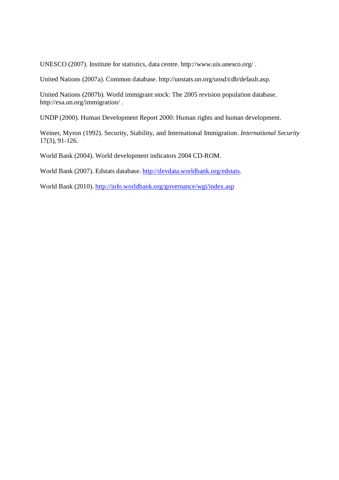UNESCO (2007). Institute for statistics, data centre. http://www.uis.unesco.org/ .

United Nations (2007a). Common database. http://unstats.un.org/unsd/cdb/default.asp.

United Nations (2007b). World immigrant stock: The 2005 revision population database. http://esa.un.org/immigration/ .

UNDP (2000). Human Development Report 2000: Human rights and human development.

Weiner, Myron (1992). Security, Stability, and International Immigration. *International Security* 17(3), 91-126.

World Bank (2004). World development indicators 2004 CD-ROM.

World Bank (2007). Edstats database. http://devdata.worldbank.org/edstats.

World Bank (2010). http://info.worldbank.org/governance/wgi/index.asp